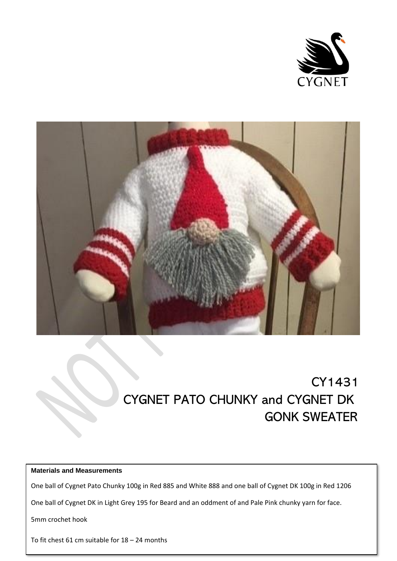



# CY1431 CYGNET PATO CHUNKY and CYGNET DK GONK SWEATER

# **Materials and Measurements**

One ball of Cygnet Pato Chunky 100g in Red 885 and White 888 and one ball of Cygnet DK 100g in Red 1206

One ball of Cygnet DK in Light Grey 195 for Beard and an oddment of and Pale Pink chunky yarn for face.

5mm crochet hook

To fit chest 61 cm suitable for 18 – 24 months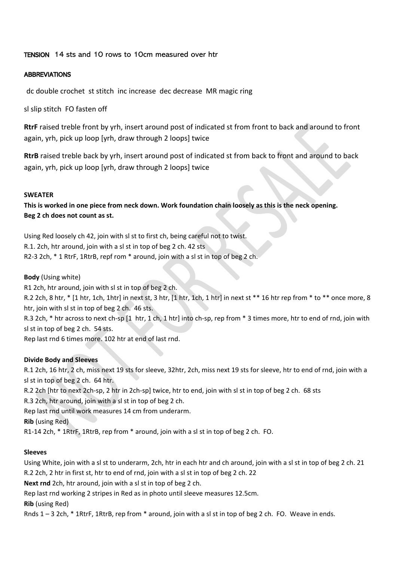## TENSION 14 sts and 10 rows to 10cm measured over htr

#### ABBREVIATIONS

dc double crochet st stitch inc increase dec decrease MR magic ring

sl slip stitch FO fasten off

**RtrF** raised treble front by yrh, insert around post of indicated st from front to back and around to front again, yrh, pick up loop [yrh, draw through 2 loops] twice

**RtrB** raised treble back by yrh, insert around post of indicated st from back to front and around to back again, yrh, pick up loop [yrh, draw through 2 loops] twice

#### **SWEATER**

**This is worked in one piece from neck down. Work foundation chain loosely as this is the neck opening. Beg 2 ch does not count as st.**

Using Red loosely ch 42, join with sl st to first ch, being careful not to twist. R.1. 2ch, htr around, join with a sl st in top of beg 2 ch. 42 sts R2-3 2ch, \* 1 RtrF, 1RtrB, repf rom \* around, join with a sl st in top of beg 2 ch.

### **Body** (Using white)

R1 2ch, htr around, join with sl st in top of beg 2 ch.

R.2 2ch, 8 htr, \* [1 htr, 1ch, 1htr] in next st, 3 htr, [1 htr, 1ch, 1 htr] in next st \*\* 16 htr rep from \* to \*\* once more, 8 htr, join with sl st in top of beg 2 ch. 46 sts.

R.3 2ch, \* htr across to next ch-sp [1 htr, 1 ch, 1 htr] into ch-sp, rep from \* 3 times more, htr to end of rnd, join with sl st in top of beg 2 ch. 54 sts.

Rep last rnd 6 times more. 102 htr at end of last rnd.

### **Divide Body and Sleeves**

R.1 2ch, 16 htr, 2 ch, miss next 19 sts for sleeve, 32htr, 2ch, miss next 19 sts for sleeve, htr to end of rnd, join with a sl st in top of beg 2 ch. 64 htr.

R.2 2ch [htr to next 2ch-sp, 2 htr in 2ch-sp] twice, htr to end, join with sl st in top of beg 2 ch. 68 sts

R.3 2ch, htr around, join with a sl st in top of beg 2 ch.

Rep last rnd until work measures 14 cm from underarm.

**Rib** (using Red)

R1-14 2ch, \* 1RtrF, 1RtrB, rep from \* around, join with a sl st in top of beg 2 ch. FO.

#### **Sleeves**

Using White, join with a sl st to underarm, 2ch, htr in each htr and ch around, join with a sl st in top of beg 2 ch. 21 R.2 2ch, 2 htr in first st, htr to end of rnd, join with a sl st in top of beg 2 ch. 22

**Next rnd** 2ch, htr around, join with a sl st in top of beg 2 ch.

Rep last rnd working 2 stripes in Red as in photo until sleeve measures 12.5cm.

**Rib** (using Red)

Rnds 1 – 3 2ch, \* 1RtrF, 1RtrB, rep from \* around, join with a sl st in top of beg 2 ch. FO. Weave in ends.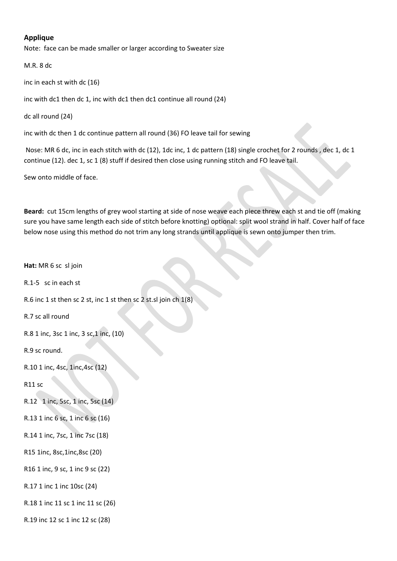### **Applique**

Note: face can be made smaller or larger according to Sweater size

M.R. 8 dc

inc in each st with dc (16)

inc with dc1 then dc 1, inc with dc1 then dc1 continue all round (24)

dc all round (24)

inc with dc then 1 dc continue pattern all round (36) FO leave tail for sewing

Nose: MR 6 dc, inc in each stitch with dc (12), 1dc inc, 1 dc pattern (18) single crochet for 2 rounds , dec 1, dc 1 continue (12). dec 1, sc 1 (8) stuff if desired then close using running stitch and FO leave tail.

Sew onto middle of face.

**Beard:** cut 15cm lengths of grey wool starting at side of nose weave each piece threw each st and tie off (making sure you have same length each side of stitch before knotting) optional: split wool strand in half. Cover half of face below nose using this method do not trim any long strands until applique is sewn onto jumper then trim.

**Hat:** MR 6 sc sl join R.1-5 sc in each st R.6 inc 1 st then sc 2 st, inc 1 st then sc 2 st.sl join ch 1(8) R.7 sc all round R.8 1 inc, 3sc 1 inc, 3 sc,1 inc, (10) R.9 sc round. R.10 1 inc, 4sc, 1inc,4sc (12) R11 sc R.12 1 inc, 5sc, 1 inc, 5sc (14) R.13 1 inc 6 sc, 1 inc 6 sc (16) R.14 1 inc, 7sc, 1 inc 7sc (18) R15 1inc, 8sc,1inc,8sc (20) R16 1 inc, 9 sc, 1 inc 9 sc (22) R.17 1 inc 1 inc 10sc (24) R.18 1 inc 11 sc 1 inc 11 sc (26) R.19 inc 12 sc 1 inc 12 sc (28)